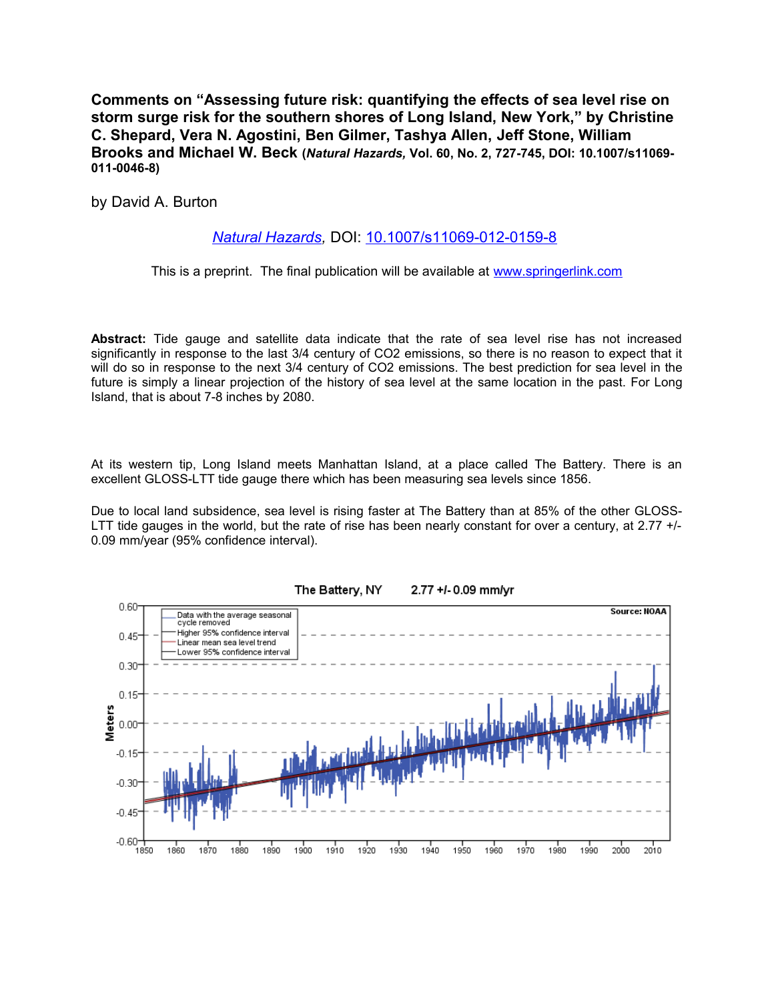**Comments on "Assessing future risk: quantifying the effects of sea level rise on storm surge risk for the southern shores of Long Island, New York," by Christine C. Shepard, Vera N. Agostini, Ben Gilmer, Tashya Allen, Jeff Stone, William Brooks and Michael W. Beck (***Natural Hazards,* **Vol. 60, No. 2, 727-745, DOI: 10.1007/s11069- 011-0046-8)**

by David A. Burton

## *[Natural Hazards,](http://www.springerlink.com/content/102967/)* DOI: [10.1007/s11069-012-0159-8](http://dx.doi.org/10.1007/s11069-012-0159-8)

This is a preprint. The final publication will be available at [www.springerlink.com](http://www.springerlink.com/)

**Abstract:** Tide gauge and satellite data indicate that the rate of sea level rise has not increased significantly in response to the last 3/4 century of CO2 emissions, so there is no reason to expect that it will do so in response to the next 3/4 century of CO2 emissions. The best prediction for sea level in the future is simply a linear projection of the history of sea level at the same location in the past. For Long Island, that is about 7-8 inches by 2080.

At its western tip, Long Island meets Manhattan Island, at a place called The Battery. There is an excellent GLOSS-LTT tide gauge there which has been measuring sea levels since 1856.

Due to local land subsidence, sea level is rising faster at The Battery than at 85% of the other GLOSS-LTT tide gauges in the world, but the rate of rise has been nearly constant for over a century, at 2.77 +/-0.09 mm/year (95% confidence interval).



## The Battery, NY 2.77 +/- 0.09 mm/yr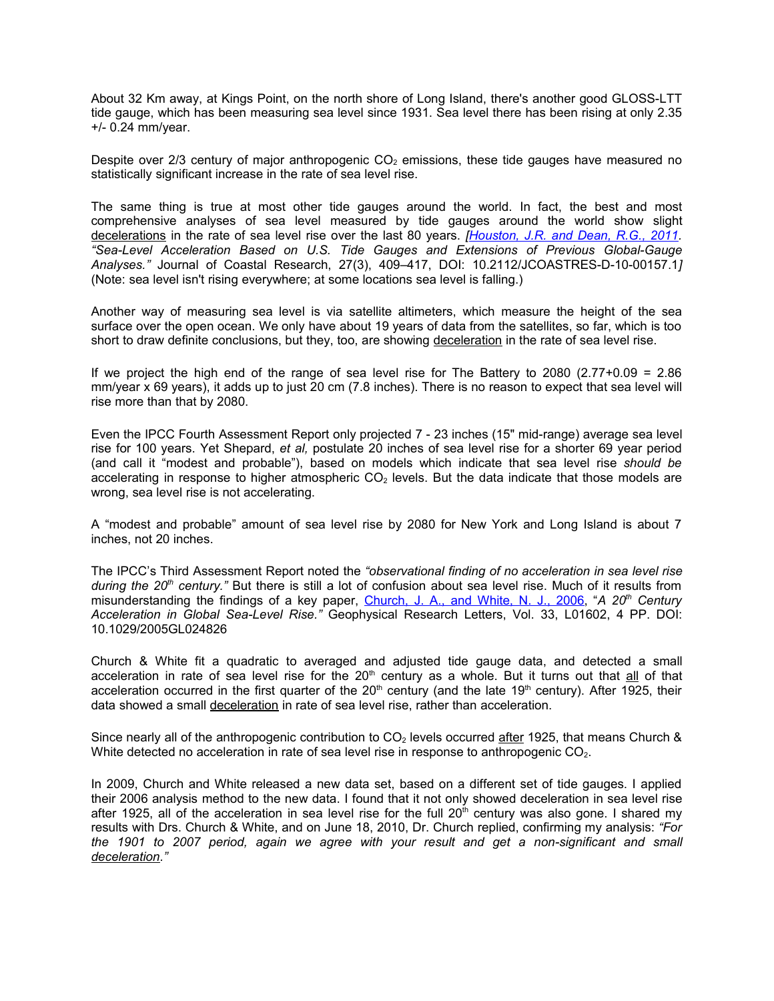About 32 Km away, at Kings Point, on the north shore of Long Island, there's another good GLOSS-LTT tide gauge, which has been measuring sea level since 1931. Sea level there has been rising at only 2.35 +/- 0.24 mm/year.

Despite over 2/3 century of major anthropogenic  $CO<sub>2</sub>$  emissions, these tide gauges have measured no statistically significant increase in the rate of sea level rise.

The same thing is true at most other tide gauges around the world. In fact, the best and most comprehensive analyses of sea level measured by tide gauges around the world show slight decelerations in the rate of sea level rise over the last 80 years. *[\[ Houston, J.R. and Dean, R.G., 2011.](http://www.jcronline.org/doi/pdf/10.2112/JCOASTRES-D-10-00157.1) "Sea-Level Acceleration Based on U.S. Tide Gauges and Extensions of Previous Global-Gauge Analyses."* Journal of Coastal Research, 27(3), 409–417, DOI: 10.2112/JCOASTRES-D-10-00157.1*]* (Note: sea level isn't rising everywhere; at some locations sea level is falling.)

Another way of measuring sea level is via satellite altimeters, which measure the height of the sea surface over the open ocean. We only have about 19 years of data from the satellites, so far, which is too short to draw definite conclusions, but they, too, are showing deceleration in the rate of sea level rise.

If we project the high end of the range of sea level rise for The Battery to 2080 (2.77+0.09 =  $2.86$ ) mm/year x 69 years), it adds up to just 20 cm (7.8 inches). There is no reason to expect that sea level will rise more than that by 2080.

Even the IPCC Fourth Assessment Report only projected 7 - 23 inches (15" mid-range) average sea level rise for 100 years. Yet Shepard, *et al,* postulate 20 inches of sea level rise for a shorter 69 year period (and call it "modest and probable"), based on models which indicate that sea level rise *should be* accelerating in response to higher atmospheric  $CO<sub>2</sub>$  levels. But the data indicate that those models are wrong, sea level rise is not accelerating.

A "modest and probable" amount of sea level rise by 2080 for New York and Long Island is about 7 inches, not 20 inches.

The IPCC's Third Assessment Report noted the *"observational finding of no acceleration in sea level rise during the 20th century."* But there is still a lot of confusion about sea level rise. Much of it results from misunderstanding the findings of a key paper, [Church, J. A., and White, N. J., 2006,](http://www.agu.org/pubs/crossref/2006/2005GL024826.shtml) "*A 20th Century Acceleration in Global Sea-Level Rise."* Geophysical Research Letters, Vol. 33, L01602, 4 PP. DOI: 10.1029/2005GL024826

Church & White fit a quadratic to averaged and adjusted tide gauge data, and detected a small acceleration in rate of sea level rise for the  $20<sup>th</sup>$  century as a whole. But it turns out that all of that acceleration occurred in the first quarter of the  $20<sup>th</sup>$  century (and the late 19<sup>th</sup> century). After 1925, their data showed a small deceleration in rate of sea level rise, rather than acceleration.

Since nearly all of the anthropogenic contribution to  $CO<sub>2</sub>$  levels occurred after 1925, that means Church & White detected no acceleration in rate of sea level rise in response to anthropogenic CO<sub>2</sub>.

In 2009, Church and White released a new data set, based on a different set of tide gauges. I applied their 2006 analysis method to the new data. I found that it not only showed deceleration in sea level rise after 1925, all of the acceleration in sea level rise for the full  $20<sup>th</sup>$  century was also gone. I shared my results with Drs. Church & White, and on June 18, 2010, Dr. Church replied, confirming my analysis: *"For the 1901 to 2007 period, again we agree with your result and get a non-significant and small deceleration."*